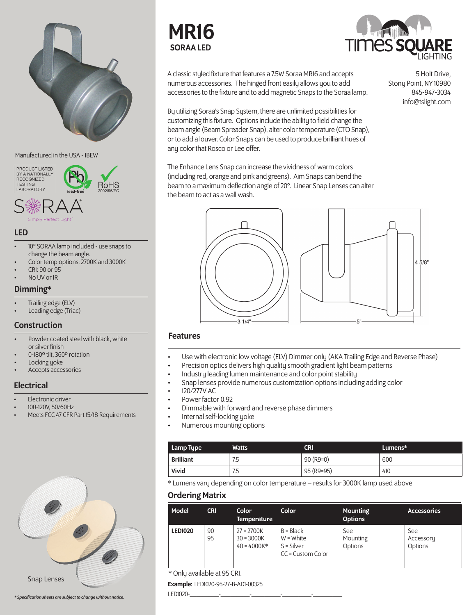

Manufactured in the USA - IBEW

PRODUCT LISTED BY A NATIONALLY TESTING LABORATORY

**RoHS** 

### LED

- 10° SORAA lamp included use snaps to change the beam angle.
- Color temp options: 2700K and 3000K
- CRI: 90 or 95
- No UV or IR

### Dimming\*

- Trailing edge (ELV)
- Leading edge (Triac)

## Construction

- Powder coated steel with black, white or silver finish
- 0-180º tilt, 360º rotation
- Locking yoke
- Accepts accessories

### **Electrical**

- **Electronic driver**
- 100-120V, 50/60Hz
- Meets FCC 47 CFR Part 15/18 Requirements



*\* Specification sheets are subject to change without notice.*





A classic styled fixture that features a 7.5W Soraa MR16 and accepts numerous accessories. The hinged front easily allows you to add accessories to the fixture and to add magnetic Snaps to the Soraa lamp.

By utilizing Soraa's Snap System, there are unlimited possibilities for customizing this fixture. Options include the ability to field change the beam angle (Beam Spreader Snap), alter color temperature (CTO Snap), or to add a louver. Color Snaps can be used to produce brilliant hues of any color that Rosco or Lee offer.

The Enhance Lens Snap can increase the vividness of warm colors (including red, orange and pink and greens). Aim Snaps can bend the beam to a maximum deflection angle of 20°. Linear Snap Lenses can alter the beam to act as a wall wash.



### Features

- Use with electronic low voltage (ELV) Dimmer only (AKA Trailing Edge and Reverse Phase)
- Precision optics delivers high quality smooth gradient light beam patterns
- Industry leading lumen maintenance and color point stability
- Snap lenses provide numerous customization options including adding color
- 120/277V AC
- Power factor 0.92
- Dimmable with forward and reverse phase dimmers
- Internal self-locking yoke
- Numerous mounting options

| Lamp Type        | Watts | CRI         | $L$ umens $*$ |
|------------------|-------|-------------|---------------|
| <b>Brilliant</b> | 7.5   | $90 (R9=0)$ | 600           |
| Vivid            | 7.5   | 95 (R9=95)  | 410           |

\* Lumens vary depending on color temperature – results for 3000K lamp used above

## Ordering Matrix

| Model          | <b>CRI</b> | Color<br><b>Temperature</b>                   | Color                                                           | <b>Mounting</b><br><b>Options</b> | <b>Accessories</b>          |
|----------------|------------|-----------------------------------------------|-----------------------------------------------------------------|-----------------------------------|-----------------------------|
| <b>LED1020</b> | 90<br>95   | $27 = 2700K$<br>$30 = 3000K$<br>$40 = 4000K*$ | $B = Black$<br>$W = White$<br>$S = Silver$<br>CC = Custom Color | See<br>Mounting<br>Options        | See<br>Accessory<br>Options |

Example: LED1020-95-27-B-AD1-00325

LED1020-\_\_\_\_\_\_\_\_\_-\_\_\_\_\_\_\_\_\_-\_\_\_\_\_\_\_\_\_-\_\_\_\_\_\_\_\_\_-\_\_\_\_\_\_\_\_\_

5 Holt Drive, Stony Point, NY 10980 845-947-3034 info@tslight.com